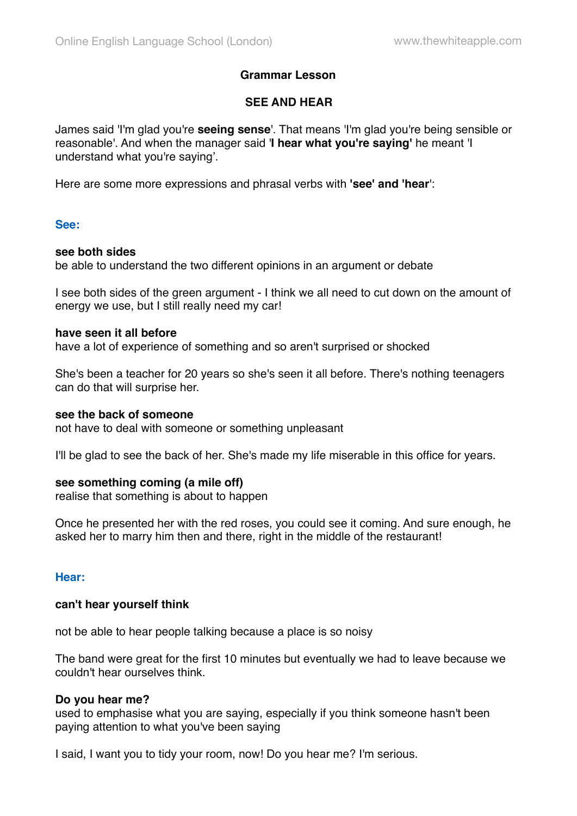# **Grammar Lesson**

# **SEE AND HEAR**

James said 'I'm glad you're **seeing sense**'. That means 'I'm glad you're being sensible or reasonable'. And when the manager said '**I hear what you're saying'** he meant 'I understand what you're saying'.

Here are some more expressions and phrasal verbs with **'see' and 'hear**':

# **See:**

## **see both sides**

be able to understand the two different opinions in an argument or debate

I see both sides of the green argument - I think we all need to cut down on the amount of energy we use, but I still really need my car!

## **have seen it all before**

have a lot of experience of something and so aren't surprised or shocked

She's been a teacher for 20 years so she's seen it all before. There's nothing teenagers can do that will surprise her.

#### **see the back of someone**

not have to deal with someone or something unpleasant

I'll be glad to see the back of her. She's made my life miserable in this office for years.

# **see something coming (a mile off)**

realise that something is about to happen

Once he presented her with the red roses, you could see it coming. And sure enough, he asked her to marry him then and there, right in the middle of the restaurant!

# **Hear:**

#### **can't hear yourself think**

not be able to hear people talking because a place is so noisy

The band were great for the first 10 minutes but eventually we had to leave because we couldn't hear ourselves think.

#### **Do you hear me?**

used to emphasise what you are saying, especially if you think someone hasn't been paying attention to what you've been saying

I said, I want you to tidy your room, now! Do you hear me? I'm serious.